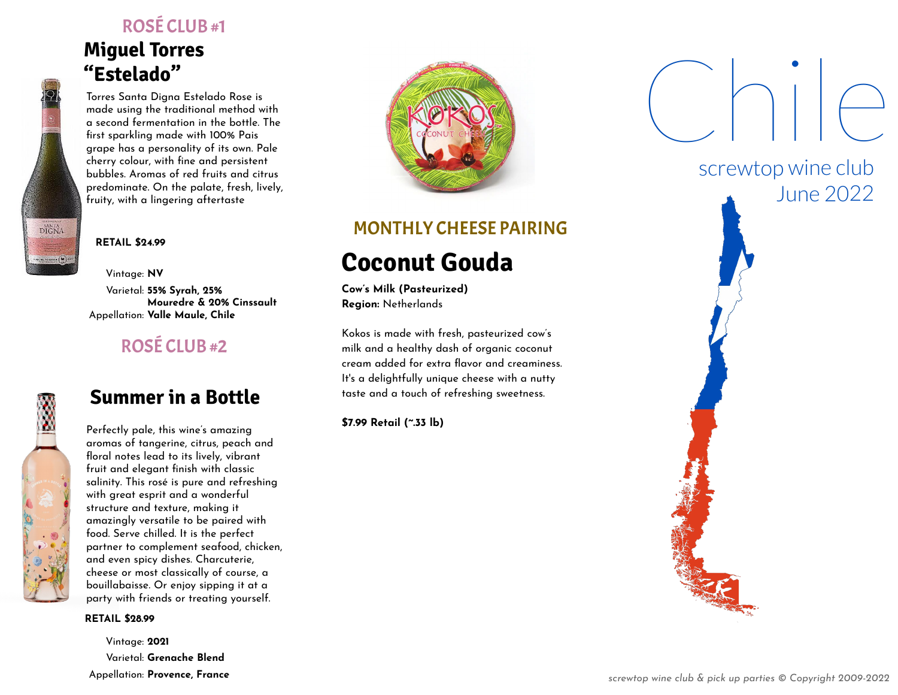## ROSÉ CLUB #1

# **Miguel Torres "Estelado"**

Torres Santa Digna Estelado Rose is made using the traditional method with a second fermentation in the bottle. The first sparkling made with 100% Pais grape has a personality of its own. Pale cherry colour, with fine and persistent bubbles. Aromas of red fruits and citrus predominate. On the palate, fresh, lively, fruity, with a lingering aftertaste



#### **RETAIL \$24.99**

Vintage: **NV** Varietal: **55% Syrah, 25% Mouredre & 20% Cinssault** Appellation: **Valle Maule, Chile**

# ROSÉ CLUB #2

# **Summer in a Bottle**

Perfectly pale, this wine's amazing aromas of tangerine, citrus, peach and floral notes lead to its lively, vibrant fruit and elegant finish with classic salinity. This rosé is pure and refreshing with great esprit and a wonderful structure and texture, making it amazingly versatile to be paired with food. Serve chilled. It is the perfect partner to complement seafood, chicken, and even spicy dishes. Charcuterie, cheese or most classically of course, a bouillabaisse. Or enjoy sipping it at a party with friends or treating yourself.

**RETAIL \$28.99**

Vintage: **2021** Varietal: **Grenache Blend** Appellation: **Provence, France**



# MONTHLY CHEESE PAIRING

# **Coconut Gouda**

**Cow's Milk (Pasteurized) Region:** Netherlands

Kokos is made with fresh, pasteurized cow's milk and a healthy dash of organic coconut cream added for extra flavor and creaminess. It's a delightfully unique cheese with a nutty taste and a touch of refreshing sweetness.

**\$7.99 Retail (~.33 lb)**